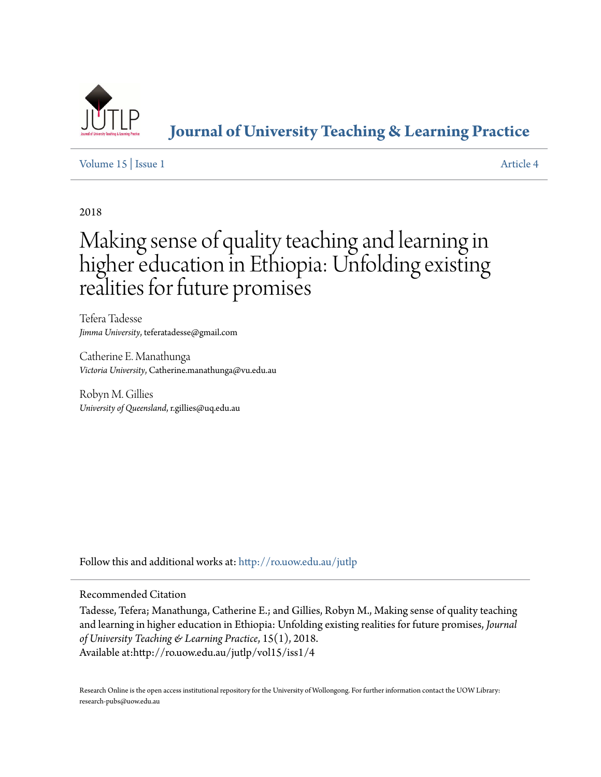

## **[Journal of University Teaching & Learning Practice](http://ro.uow.edu.au/jutlp?utm_source=ro.uow.edu.au%2Fjutlp%2Fvol15%2Fiss1%2F4&utm_medium=PDF&utm_campaign=PDFCoverPages)**

## [Volume 15](http://ro.uow.edu.au/jutlp/vol15?utm_source=ro.uow.edu.au%2Fjutlp%2Fvol15%2Fiss1%2F4&utm_medium=PDF&utm_campaign=PDFCoverPages) | [Issue 1](http://ro.uow.edu.au/jutlp/vol15/iss1?utm_source=ro.uow.edu.au%2Fjutlp%2Fvol15%2Fiss1%2F4&utm_medium=PDF&utm_campaign=PDFCoverPages) [Article 4](http://ro.uow.edu.au/jutlp/vol15/iss1/4?utm_source=ro.uow.edu.au%2Fjutlp%2Fvol15%2Fiss1%2F4&utm_medium=PDF&utm_campaign=PDFCoverPages)

2018

# Making sense of quality teaching and learning in higher education in Ethiopia: Unfolding existing realities for future promises

Tefera Tadesse *Jimma University*, teferatadesse@gmail.com

Catherine E. Manathunga *Victoria University*, Catherine.manathunga@vu.edu.au

Robyn M. Gillies *University of Queensland*, r.gillies@uq.edu.au

Follow this and additional works at: [http://ro.uow.edu.au/jutlp](http://ro.uow.edu.au/jutlp?utm_source=ro.uow.edu.au%2Fjutlp%2Fvol15%2Fiss1%2F4&utm_medium=PDF&utm_campaign=PDFCoverPages)

#### Recommended Citation

Tadesse, Tefera; Manathunga, Catherine E.; and Gillies, Robyn M., Making sense of quality teaching and learning in higher education in Ethiopia: Unfolding existing realities for future promises, *Journal of University Teaching & Learning Practice*, 15(1), 2018. Available at:http://ro.uow.edu.au/jutlp/vol15/iss1/4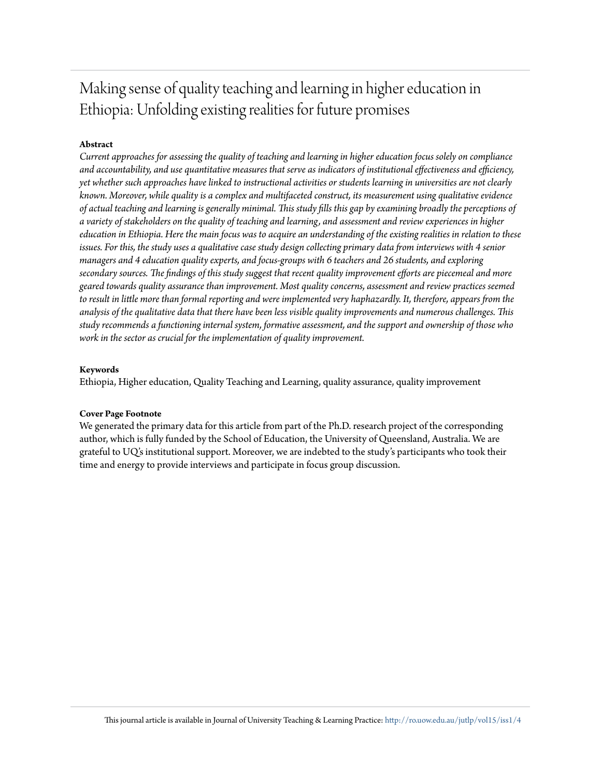## Making sense of quality teaching and learning in higher education in Ethiopia: Unfolding existing realities for future promises

## **Abstract**

*Current approaches for assessing the quality of teaching and learning in higher education focus solely on compliance and accountability, and use quantitative measures that serve as indicators of institutional effectiveness and efficiency, yet whether such approaches have linked to instructional activities or students learning in universities are not clearly known. Moreover, while quality is a complex and multifaceted construct, its measurement using qualitative evidence of actual teaching and learning is generally minimal. This study fills this gap by examining broadly the perceptions of a variety of stakeholders on the quality of teaching and learning, and assessment and review experiences in higher education in Ethiopia. Here the main focus was to acquire an understanding of the existing realities in relation to these issues. For this, the study uses a qualitative case study design collecting primary data from interviews with 4 senior managers and 4 education quality experts, and focus-groups with 6 teachers and 26 students, and exploring secondary sources. The findings of this study suggest that recent quality improvement efforts are piecemeal and more geared towards quality assurance than improvement. Most quality concerns, assessment and review practices seemed to result in little more than formal reporting and were implemented very haphazardly. It, therefore, appears from the analysis of the qualitative data that there have been less visible quality improvements and numerous challenges. This study recommends a functioning internal system, formative assessment, and the support and ownership of those who work in the sector as crucial for the implementation of quality improvement.*

### **Keywords**

Ethiopia, Higher education, Quality Teaching and Learning, quality assurance, quality improvement

## **Cover Page Footnote**

We generated the primary data for this article from part of the Ph.D. research project of the corresponding author, which is fully funded by the School of Education, the University of Queensland, Australia. We are grateful to UQ's institutional support. Moreover, we are indebted to the study's participants who took their time and energy to provide interviews and participate in focus group discussion.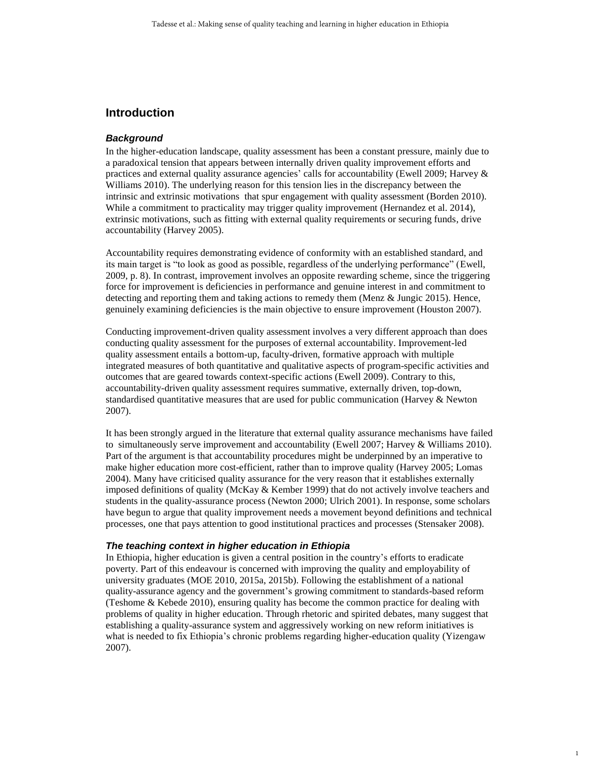## **Introduction**

#### *Background*

In the higher-education landscape, quality assessment has been a constant pressure, mainly due to a paradoxical tension that appears between internally driven quality improvement efforts and practices and external quality assurance agencies' calls for accountability [\(Ewell 2009;](#page-15-0) [Harvey &](#page-15-1)  [Williams 2010\)](#page-15-1). The underlying reason for this tension lies in the discrepancy between the intrinsic and extrinsic motivations that spur engagement with quality assessment [\(Borden 2010\)](#page-14-0). While a commitment to practicality may trigger quality improvement [\(Hernandez et al. 2014\)](#page-16-0), extrinsic motivations, such as fitting with external quality requirements or securing funds, drive accountability [\(Harvey 2005\)](#page-15-2).

Accountability requires demonstrating evidence of conformity with an established standard, and its main target is "to look as good as possible, regardless of the underlying performance" (Ewell, 2009, p. 8). In contrast, improvement involves an opposite rewarding scheme, since the triggering force for improvement is deficiencies in performance and genuine interest in and commitment to detecting and reporting them and taking actions to remedy them [\(Menz & Jungic 2015\)](#page-16-1). Hence, genuinely examining deficiencies is the main objective to ensure improvement [\(Houston 2007\)](#page-16-2).

Conducting improvement-driven quality assessment involves a very different approach than does conducting quality assessment for the purposes of external accountability. Improvement-led quality assessment entails a bottom-up, faculty-driven, formative approach with multiple integrated measures of both quantitative and qualitative aspects of program-specific activities and outcomes that are geared towards context-specific actions [\(Ewell 2009\)](#page-15-0). Contrary to this, accountability-driven quality assessment requires summative, externally driven, top-down, standardised quantitative measures that are used for public communication [\(Harvey & Newton](#page-15-3)  [2007\)](#page-15-3).

It has been strongly argued in the literature that external quality assurance mechanisms have failed to simultaneously serve improvement and accountability [\(Ewell 2007;](#page-15-4) [Harvey & Williams 2010\)](#page-15-1). Part of the argument is that accountability procedures might be underpinned by an imperative to make higher education more cost-efficient, rather than to improve quality [\(Harvey 2005;](#page-15-2) [Lomas](#page-16-3)  [2004\)](#page-16-3). Many have criticised quality assurance for the very reason that it establishes externally imposed definitions of quality [\(McKay & Kember 1999\)](#page-16-4) that do not actively involve teachers and students in the quality-assurance process [\(Newton 2000;](#page-17-0) [Ulrich 2001\)](#page-18-0). In response, some scholars have begun to argue that quality improvement needs a movement beyond definitions and technical processes, one that pays attention to good institutional practices and processes [\(Stensaker 2008\)](#page-17-1).

#### *The teaching context in higher education in Ethiopia*

In Ethiopia, higher education is given a central position in the country's efforts to eradicate poverty. Part of this endeavour is concerned with improving the quality and employability of university graduates [\(MOE 2010,](#page-16-5) [2015a,](#page-17-2) [2015b\)](#page-17-3). Following the establishment of a national quality-assurance agency and the government's growing commitment to standards-based reform [\(Teshome & Kebede 2010\)](#page-18-1), ensuring quality has become the common practice for dealing with problems of quality in higher education. Through rhetoric and spirited debates, many suggest that establishing a quality-assurance system and aggressively working on new reform initiatives is what is needed to fix Ethiopia's chronic problems regarding higher-education quality [\(Yizengaw](#page-18-2)  [2007\)](#page-18-2).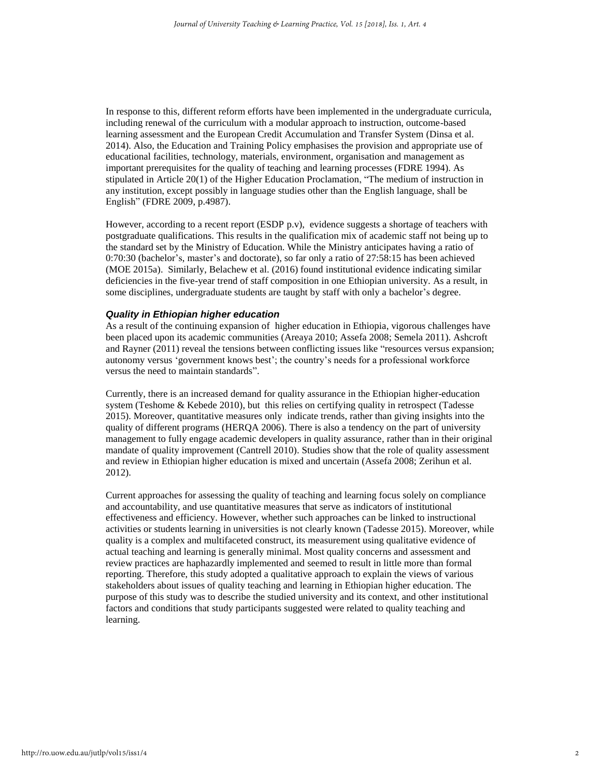In response to this, different reform efforts have been implemented in the undergraduate curricula, including renewal of the curriculum with a modular approach to instruction, outcome-based learning assessment and the European Credit Accumulation and Transfer System [\(Dinsa et al.](#page-15-5)  [2014\)](#page-15-5). Also, the Education and Training Policy emphasises the provision and appropriate use of educational facilities, technology, materials, environment, organisation and management as important prerequisites for the quality of teaching and learning processes [\(FDRE 1994\)](#page-15-6). As stipulated in Article 20(1) of the Higher Education Proclamation, "The medium of instruction in any institution, except possibly in language studies other than the English language, shall be English" [\(FDRE 2009,](#page-15-7) p.4987).

However, according to a recent report (ESDP p.v), evidence suggests a shortage of teachers with postgraduate qualifications. This results in the qualification mix of academic staff not being up to the standard set by the Ministry of Education. While the Ministry anticipates having a ratio of 0:70:30 (bachelor's, master's and doctorate), so far only a ratio of 27:58:15 has been achieved [\(MOE 2015a\)](#page-17-2). Similarly, Belachew et al. (2016) found institutional evidence indicating similar deficiencies in the five-year trend of staff composition in one Ethiopian university. As a result, in some disciplines, undergraduate students are taught by staff with only a bachelor's degree.

#### *Quality in Ethiopian higher education*

As a result of the continuing expansion of higher education in Ethiopia, vigorous challenges have been placed upon its academic communities [\(Areaya 2010;](#page-14-1) [Assefa 2008;](#page-14-2) [Semela 2011\)](#page-17-4). Ashcroft and Rayner (2011) reveal the tensions between conflicting issues like "resources versus expansion; autonomy versus 'government knows best'; the country's needs for a professional workforce versus the need to maintain standards".

Currently, there is an increased demand for quality assurance in the Ethiopian higher-education system [\(Teshome & Kebede 2010\)](#page-18-1), but this relies on certifying quality in retrospect (Tadesse [2015\)](#page-18-3). Moreover, quantitative measures only indicate trends, rather than giving insights into the quality of different programs [\(HERQA 2006\)](#page-16-6). There is also a tendency on the part of university management to fully engage academic developers in quality assurance, rather than in their original mandate of quality improvement [\(Cantrell 2010\)](#page-14-3). Studies show that the role of quality assessment and review in Ethiopian higher education is mixed and uncertain [\(Assefa 2008;](#page-14-2) [Zerihun et al.](#page-18-4)  [2012\)](#page-18-4).

Current approaches for assessing the quality of teaching and learning focus solely on compliance and accountability, and use quantitative measures that serve as indicators of institutional effectiveness and efficiency. However, whether such approaches can be linked to instructional activities or students learning in universities is not clearly known [\(Tadesse 2015\)](#page-18-3). Moreover, while quality is a complex and multifaceted construct, its measurement using qualitative evidence of actual teaching and learning is generally minimal. Most quality concerns and assessment and review practices are haphazardly implemented and seemed to result in little more than formal reporting. Therefore, this study adopted a qualitative approach to explain the views of various stakeholders about issues of quality teaching and learning in Ethiopian higher education. The purpose of this study was to describe the studied university and its context, and other institutional factors and conditions that study participants suggested were related to quality teaching and learning.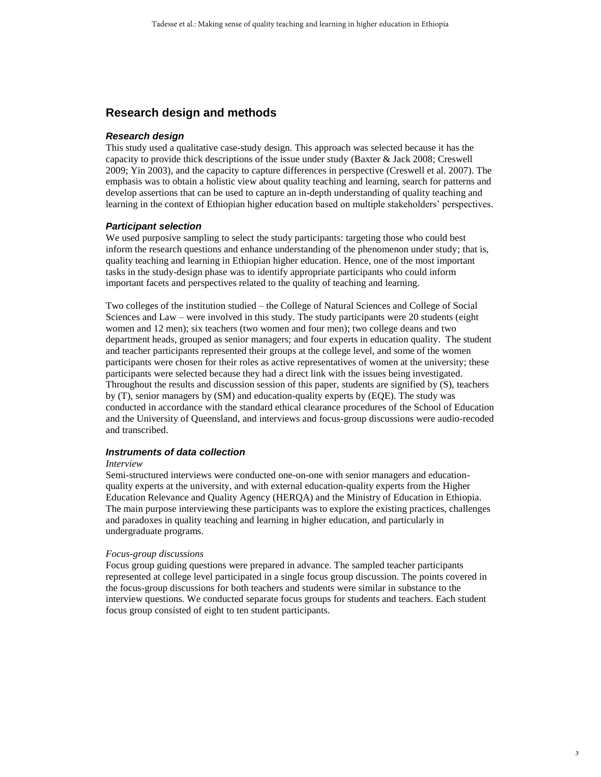## **Research design and methods**

#### *Research design*

This study used a qualitative case-study design. This approach was selected because it has the capacity to provide thick descriptions of the issue under study [\(Baxter & Jack 2008;](#page-14-4) [Creswell](#page-15-8)  [2009;](#page-15-8) [Yin 2003\)](#page-18-5), and the capacity to capture differences in perspective [\(Creswell et al. 2007\)](#page-15-9). The emphasis was to obtain a holistic view about quality teaching and learning, search for patterns and develop assertions that can be used to capture an in-depth understanding of quality teaching and learning in the context of Ethiopian higher education based on multiple stakeholders' perspectives.

#### *Participant selection*

We used purposive sampling to select the study participants: targeting those who could best inform the research questions and enhance understanding of the phenomenon under study; that is, quality teaching and learning in Ethiopian higher education. Hence, one of the most important tasks in the study-design phase was to identify appropriate participants who could inform important facets and perspectives related to the quality of teaching and learning.

Two colleges of the institution studied – the College of Natural Sciences and College of Social Sciences and Law – were involved in this study. The study participants were 20 students (eight women and 12 men); six teachers (two women and four men); two college deans and two department heads, grouped as senior managers; and four experts in education quality. The student and teacher participants represented their groups at the college level, and some of the women participants were chosen for their roles as active representatives of women at the university; these participants were selected because they had a direct link with the issues being investigated. Throughout the results and discussion session of this paper, students are signified by (S), teachers by (T), senior managers by (SM) and education-quality experts by (EQE). The study was conducted in accordance with the standard ethical clearance procedures of the School of Education and the University of Queensland, and interviews and focus-group discussions were audio-recoded and transcribed.

#### *Instruments of data collection*

#### *Interview*

Semi-structured interviews were conducted one-on-one with senior managers and educationquality experts at the university, and with external education-quality experts from the Higher Education Relevance and Quality Agency (HERQA) and the Ministry of Education in Ethiopia. The main purpose interviewing these participants was to explore the existing practices, challenges and paradoxes in quality teaching and learning in higher education, and particularly in undergraduate programs.

#### *Focus-group discussions*

Focus group guiding questions were prepared in advance. The sampled teacher participants represented at college level participated in a single focus group discussion. The points covered in the focus-group discussions for both teachers and students were similar in substance to the interview questions. We conducted separate focus groups for students and teachers. Each student focus group consisted of eight to ten student participants.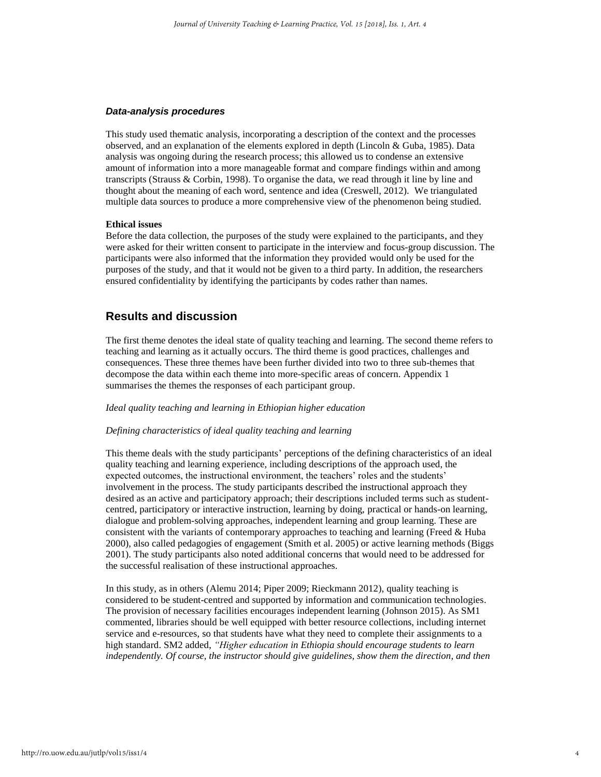#### *Data-analysis procedures*

This study used thematic analysis, incorporating a description of the context and the processes observed, and an explanation of the elements explored in depth (Lincoln & Guba, 1985). Data analysis was ongoing during the research process; this allowed us to condense an extensive amount of information into a more manageable format and compare findings within and among transcripts (Strauss & Corbin, 1998). To organise the data, we read through it line by line and thought about the meaning of each word, sentence and idea (Creswell, 2012). We triangulated multiple data sources to produce a more comprehensive view of the phenomenon being studied.

#### **Ethical issues**

Before the data collection, the purposes of the study were explained to the participants, and they were asked for their written consent to participate in the interview and focus-group discussion. The participants were also informed that the information they provided would only be used for the purposes of the study, and that it would not be given to a third party. In addition, the researchers ensured confidentiality by identifying the participants by codes rather than names.

### **Results and discussion**

The first theme denotes the ideal state of quality teaching and learning. The second theme refers to teaching and learning as it actually occurs. The third theme is good practices, challenges and consequences. These three themes have been further divided into two to three sub-themes that decompose the data within each theme into more-specific areas of concern. Appendix 1 summarises the themes the responses of each participant group.

#### *Ideal quality teaching and learning in Ethiopian higher education*

#### *Defining characteristics of ideal quality teaching and learning*

This theme deals with the study participants' perceptions of the defining characteristics of an ideal quality teaching and learning experience, including descriptions of the approach used, the expected outcomes, the instructional environment, the teachers' roles and the students' involvement in the process. The study participants described the instructional approach they desired as an active and participatory approach; their descriptions included terms such as studentcentred, participatory or interactive instruction, learning by doing, practical or hands-on learning, dialogue and problem-solving approaches, independent learning and group learning. These are consistent with the variants of contemporary approaches to teaching and learning [\(Freed & Huba](#page-15-10)  [2000\)](#page-15-10), also called pedagogies of engagement [\(Smith et al. 2005\)](#page-17-5) or active learning methods [\(Biggs](#page-14-5)  [2001\)](#page-14-5). The study participants also noted additional concerns that would need to be addressed for the successful realisation of these instructional approaches.

In this study, as in others [\(Alemu 2014;](#page-14-6) [Piper 2009;](#page-17-6) [Rieckmann 2012\)](#page-17-7), quality teaching is considered to be student-centred and supported by information and communication technologies. The provision of necessary facilities encourages independent learning [\(Johnson 2015\)](#page-16-7). As SM1 commented, libraries should be well equipped with better resource collections, including internet service and e-resources, so that students have what they need to complete their assignments to a high standard. SM2 added, *"Higher education in Ethiopia should encourage students to learn independently. Of course, the instructor should give guidelines, show them the direction, and then*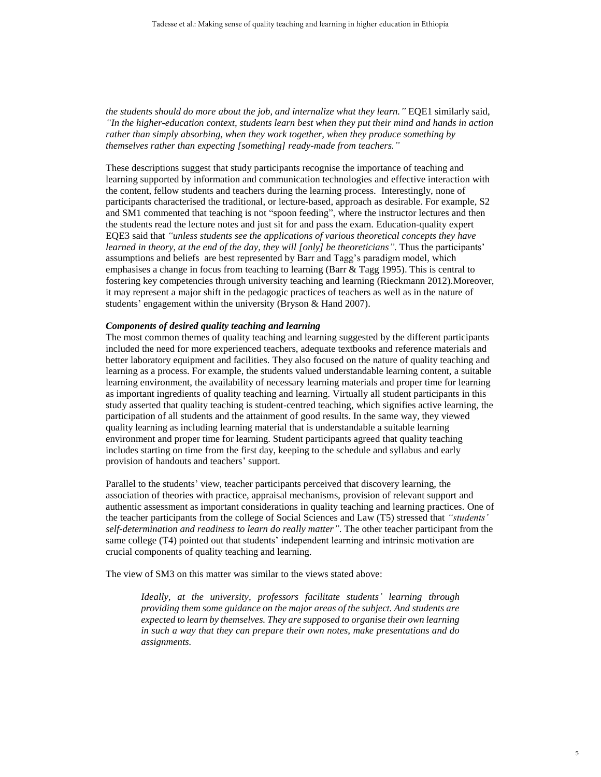*the students should do more about the job, and internalize what they learn."* EQE1 similarly said, *"In the higher-education context, students learn best when they put their mind and hands in action*  rather than simply absorbing, when they work together, when they produce something by *themselves rather than expecting [something] ready-made from teachers."*

These descriptions suggest that study participants recognise the importance of teaching and learning supported by information and communication technologies and effective interaction with the content, fellow students and teachers during the learning process. Interestingly, none of participants characterised the traditional, or lecture-based, approach as desirable. For example, S2 and SM1 commented that teaching is not "spoon feeding", where the instructor lectures and then the students read the lecture notes and just sit for and pass the exam. Education-quality expert EQE3 said that *"unless students see the applications of various theoretical concepts they have learned in theory, at the end of the day, they will [only] be theoreticians".* Thus the participants' assumptions and beliefs are best represented by Barr and Tagg's paradigm model, which emphasises a change in focus from teaching to learning [\(Barr & Tagg 1995\)](#page-14-7). This is central to fostering key competencies through university teaching and learning [\(Rieckmann 2012\)](#page-17-7).Moreover, it may represent a major shift in the pedagogic practices of teachers as well as in the nature of students' engagement within the university [\(Bryson & Hand 2007\)](#page-14-8).

#### *Components of desired quality teaching and learning*

The most common themes of quality teaching and learning suggested by the different participants included the need for more experienced teachers, adequate textbooks and reference materials and better laboratory equipment and facilities. They also focused on the nature of quality teaching and learning as a process. For example, the students valued understandable learning content, a suitable learning environment, the availability of necessary learning materials and proper time for learning as important ingredients of quality teaching and learning. Virtually all student participants in this study asserted that quality teaching is student-centred teaching, which signifies active learning, the participation of all students and the attainment of good results. In the same way, they viewed quality learning as including learning material that is understandable a suitable learning environment and proper time for learning. Student participants agreed that quality teaching includes starting on time from the first day, keeping to the schedule and syllabus and early provision of handouts and teachers' support.

Parallel to the students' view, teacher participants perceived that discovery learning, the association of theories with practice, appraisal mechanisms, provision of relevant support and authentic assessment as important considerations in quality teaching and learning practices. One of the teacher participants from the college of Social Sciences and Law (T5) stressed that *"students' self-determination and readiness to learn do really matter"*. The other teacher participant from the same college (T4) pointed out that students' independent learning and intrinsic motivation are crucial components of quality teaching and learning.

The view of SM3 on this matter was similar to the views stated above:

*Ideally, at the university, professors facilitate students' learning through providing them some guidance on the major areas of the subject. And students are expected to learn by themselves. They are supposed to organise their own learning in such a way that they can prepare their own notes, make presentations and do assignments.*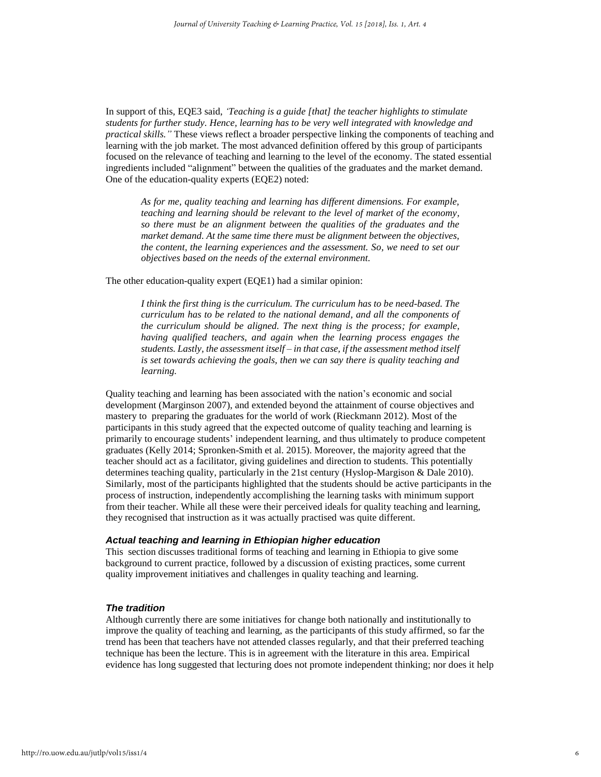In support of this, EQE3 said, *'Teaching is a guide [that] the teacher highlights to stimulate students for further study. Hence, learning has to be very well integrated with knowledge and practical skills."* These views reflect a broader perspective linking the components of teaching and learning with the job market. The most advanced definition offered by this group of participants focused on the relevance of teaching and learning to the level of the economy. The stated essential ingredients included "alignment" between the qualities of the graduates and the market demand. One of the education-quality experts (EQE2) noted:

*As for me, quality teaching and learning has different dimensions. For example, teaching and learning should be relevant to the level of market of the economy, so there must be an alignment between the qualities of the graduates and the market demand. At the same time there must be alignment between the objectives, the content, the learning experiences and the assessment. So, we need to set our objectives based on the needs of the external environment.*

The other education-quality expert (EQE1) had a similar opinion:

*I think the first thing is the curriculum. The curriculum has to be need-based. The curriculum has to be related to the national demand, and all the components of the curriculum should be aligned. The next thing is the process; for example, having qualified teachers, and again when the learning process engages the students. Lastly, the assessment itself – in that case, if the assessment method itself is set towards achieving the goals, then we can say there is quality teaching and learning.*

Quality teaching and learning has been associated with the nation's economic and social development [\(Marginson 2007\)](#page-16-8), and extended beyond the attainment of course objectives and mastery to preparing the graduates for the world of work [\(Rieckmann 2012\)](#page-17-7). Most of the participants in this study agreed that the expected outcome of quality teaching and learning is primarily to encourage students' independent learning, and thus ultimately to produce competent graduates [\(Kelly 2014;](#page-16-9) [Spronken-Smith et al. 2015\)](#page-17-8). Moreover, the majority agreed that the teacher should act as a facilitator, giving guidelines and direction to students. This potentially determines teaching quality, particularly in the 21st century [\(Hyslop-Margison & Dale 2010\)](#page-16-10). Similarly, most of the participants highlighted that the students should be active participants in the process of instruction, independently accomplishing the learning tasks with minimum support from their teacher. While all these were their perceived ideals for quality teaching and learning, they recognised that instruction as it was actually practised was quite different.

#### *Actual teaching and learning in Ethiopian higher education*

This section discusses traditional forms of teaching and learning in Ethiopia to give some background to current practice, followed by a discussion of existing practices, some current quality improvement initiatives and challenges in quality teaching and learning.

#### *The tradition*

Although currently there are some initiatives for change both nationally and institutionally to improve the quality of teaching and learning, as the participants of this study affirmed, so far the trend has been that teachers have not attended classes regularly, and that their preferred teaching technique has been the lecture. This is in agreement with the literature in this area. Empirical evidence has long suggested that lecturing does not promote independent thinking; nor does it help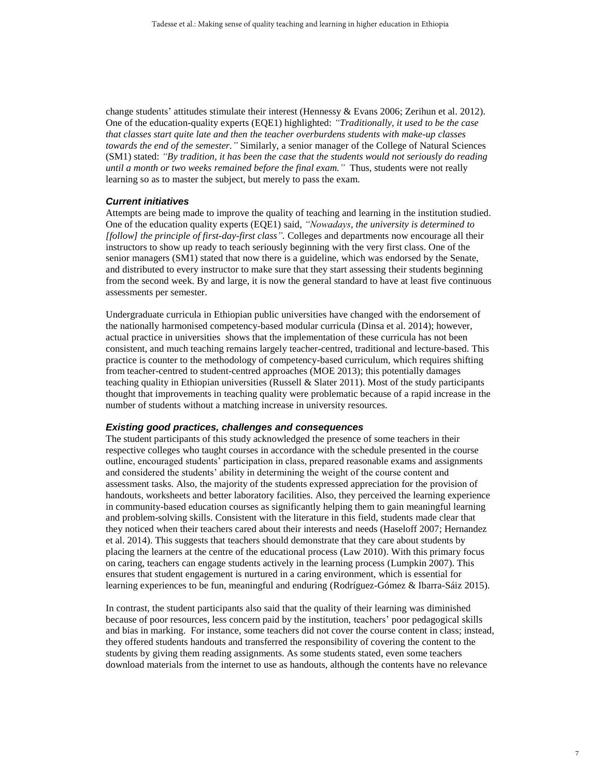change students' attitudes stimulate their interest [\(Hennessy & Evans 2006;](#page-16-11) [Zerihun et al. 2012\)](#page-18-4). One of the education-quality experts (EQE1) highlighted: *"Traditionally, it used to be the case that classes start quite late and then the teacher overburdens students with make-up classes towards the end of the semester."* Similarly, a senior manager of the College of Natural Sciences (SM1) stated: *"By tradition, it has been the case that the students would not seriously do reading until a month or two weeks remained before the final exam."* Thus, students were not really learning so as to master the subject, but merely to pass the exam.

#### *Current initiatives*

Attempts are being made to improve the quality of teaching and learning in the institution studied. One of the education quality experts (EQE1) said, *"Nowadays, the university is determined to [follow] the principle of first-day-first class".* Colleges and departments now encourage all their instructors to show up ready to teach seriously beginning with the very first class. One of the senior managers (SM1) stated that now there is a guideline, which was endorsed by the Senate, and distributed to every instructor to make sure that they start assessing their students beginning from the second week. By and large, it is now the general standard to have at least five continuous assessments per semester.

Undergraduate curricula in Ethiopian public universities have changed with the endorsement of the nationally harmonised competency-based modular curricula [\(Dinsa et al. 2014\)](#page-15-5); however, actual practice in universities shows that the implementation of these curricula has not been consistent, and much teaching remains largely teacher-centred, traditional and lecture-based. This practice is counter to the methodology of competency-based curriculum, which requires shifting from teacher-centred to student-centred approaches [\(MOE 2013\)](#page-16-12); this potentially damages teaching quality in Ethiopian universities [\(Russell & Slater 2011\)](#page-17-9). Most of the study participants thought that improvements in teaching quality were problematic because of a rapid increase in the number of students without a matching increase in university resources.

#### *Existing good practices, challenges and consequences*

The student participants of this study acknowledged the presence of some teachers in their respective colleges who taught courses in accordance with the schedule presented in the course outline, encouraged students' participation in class, prepared reasonable exams and assignments and considered the students' ability in determining the weight of the course content and assessment tasks. Also, the majority of the students expressed appreciation for the provision of handouts, worksheets and better laboratory facilities. Also, they perceived the learning experience in community-based education courses as significantly helping them to gain meaningful learning and problem-solving skills. Consistent with the literature in this field, students made clear that they noticed when their teachers cared about their interests and needs [\(Haseloff 2007;](#page-16-13) [Hernandez](#page-16-0)  [et al. 2014\)](#page-16-0). This suggests that teachers should demonstrate that they care about students by placing the learners at the centre of the educational process [\(Law 2010\)](#page-16-14). With this primary focus on caring, teachers can engage students actively in the learning process [\(Lumpkin 2007\)](#page-16-15). This ensures that student engagement is nurtured in a caring environment, which is essential for learning experiences to be fun, meaningful and enduring [\(Rodríguez-Gómez & Ibarra-Sáiz 2015\)](#page-17-10).

In contrast, the student participants also said that the quality of their learning was diminished because of poor resources, less concern paid by the institution, teachers' poor pedagogical skills and bias in marking. For instance, some teachers did not cover the course content in class; instead, they offered students handouts and transferred the responsibility of covering the content to the students by giving them reading assignments. As some students stated, even some teachers download materials from the internet to use as handouts, although the contents have no relevance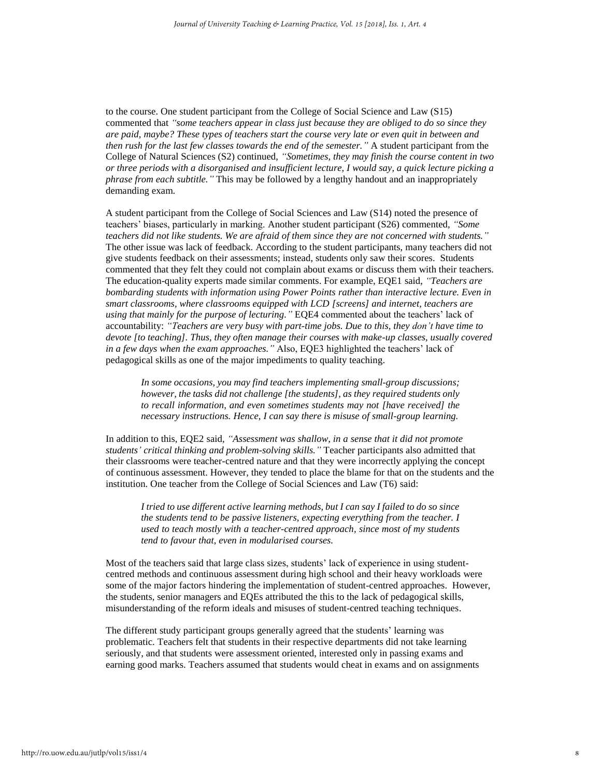to the course. One student participant from the College of Social Science and Law (S15) commented that *"some teachers appear in class just because they are obliged to do so since they are paid, maybe? These types of teachers start the course very late or even quit in between and then rush for the last few classes towards the end of the semester."* A student participant from the College of Natural Sciences (S2) continued, *"Sometimes, they may finish the course content in two or three periods with a disorganised and insufficient lecture, I would say, a quick lecture picking a phrase from each subtitle."* This may be followed by a lengthy handout and an inappropriately demanding exam.

A student participant from the College of Social Sciences and Law (S14) noted the presence of teachers' biases, particularly in marking. Another student participant (S26) commented, *"Some*  teachers did not like students. We are afraid of them since they are not concerned with students." The other issue was lack of feedback. According to the student participants, many teachers did not give students feedback on their assessments; instead, students only saw their scores. Students commented that they felt they could not complain about exams or discuss them with their teachers. The education-quality experts made similar comments. For example, EQE1 said, *"Teachers are bombarding students with information using Power Points rather than interactive lecture. Even in smart classrooms, where classrooms equipped with LCD [screens] and internet, teachers are using that mainly for the purpose of lecturing."* EQE4 commented about the teachers' lack of accountability: *"Teachers are very busy with part-time jobs. Due to this, they don't have time to devote [to teaching]. Thus, they often manage their courses with make-up classes, usually covered in a few days when the exam approaches."* Also, EQE3 highlighted the teachers' lack of pedagogical skills as one of the major impediments to quality teaching.

*In some occasions, you may find teachers implementing small-group discussions; however, the tasks did not challenge [the students], as they required students only to recall information, and even sometimes students may not [have received] the necessary instructions. Hence, I can say there is misuse of small-group learning.* 

In addition to this, EQE2 said, *"Assessment was shallow, in a sense that it did not promote students' critical thinking and problem-solving skills."* Teacher participants also admitted that their classrooms were teacher-centred nature and that they were incorrectly applying the concept of continuous assessment. However, they tended to place the blame for that on the students and the institution. One teacher from the College of Social Sciences and Law (T6) said:

*I tried to use different active learning methods, but I can say I failed to do so since the students tend to be passive listeners, expecting everything from the teacher. I used to teach mostly with a teacher-centred approach, since most of my students tend to favour that, even in modularised courses.* 

Most of the teachers said that large class sizes, students' lack of experience in using studentcentred methods and continuous assessment during high school and their heavy workloads were some of the major factors hindering the implementation of student-centred approaches. However, the students, senior managers and EQEs attributed the this to the lack of pedagogical skills, misunderstanding of the reform ideals and misuses of student-centred teaching techniques.

The different study participant groups generally agreed that the students' learning was problematic. Teachers felt that students in their respective departments did not take learning seriously, and that students were assessment oriented, interested only in passing exams and earning good marks. Teachers assumed that students would cheat in exams and on assignments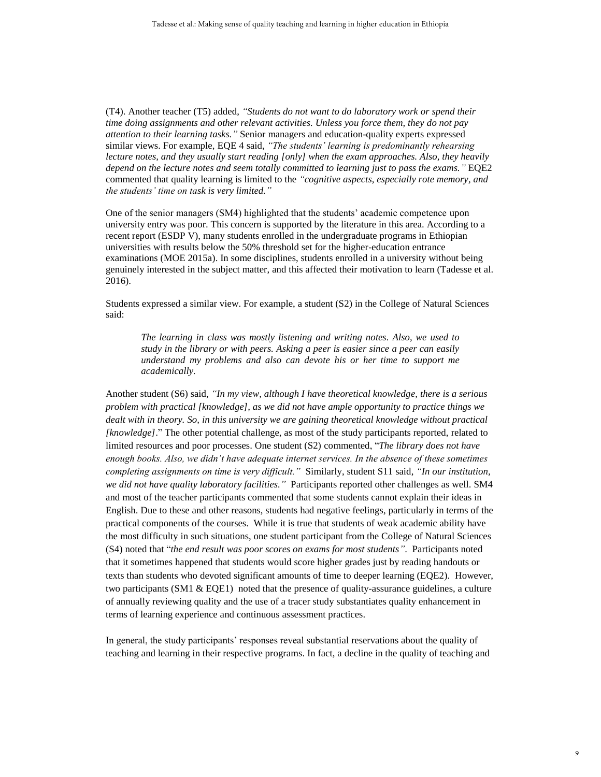(T4). Another teacher (T5) added, *"Students do not want to do laboratory work or spend their time doing assignments and other relevant activities. Unless you force them, they do not pay attention to their learning tasks."* Senior managers and education-quality experts expressed similar views. For example, EQE 4 said, *"The students' learning is predominantly rehearsing lecture notes, and they usually start reading [only] when the exam approaches. Also, they heavily depend on the lecture notes and seem totally committed to learning just to pass the exams."* EQE2 commented that quality learning is limited to the *"cognitive aspects, especially rote memory, and the students' time on task is very limited."*

One of the senior managers (SM4) highlighted that the students' academic competence upon university entry was poor. This concern is supported by the literature in this area. According to a recent report (ESDP V), many students enrolled in the undergraduate programs in Ethiopian universities with results below the 50% threshold set for the higher-education entrance examinations [\(MOE 2015a\)](#page-17-2). In some disciplines, students enrolled in a university without being genuinely interested in the subject matter, and this affected their motivation to learn [\(Tadesse et al.](#page-18-6)  [2016\)](#page-18-6).

Students expressed a similar view. For example, a student (S2) in the College of Natural Sciences said:

*The learning in class was mostly listening and writing notes. Also, we used to study in the library or with peers. Asking a peer is easier since a peer can easily understand my problems and also can devote his or her time to support me academically.*

Another student (S6) said, *"In my view, although I have theoretical knowledge, there is a serious problem with practical [knowledge], as we did not have ample opportunity to practice things we dealt with in theory. So, in this university we are gaining theoretical knowledge without practical [knowledge]*." The other potential challenge, as most of the study participants reported, related to limited resources and poor processes. One student (S2) commented, "*The library does not have enough books. Also, we didn't have adequate internet services. In the absence of these sometimes completing assignments on time is very difficult."* Similarly, student S11 said, *"In our institution, we did not have quality laboratory facilities."* Participants reported other challenges as well. SM4 and most of the teacher participants commented that some students cannot explain their ideas in English. Due to these and other reasons, students had negative feelings, particularly in terms of the practical components of the courses. While it is true that students of weak academic ability have the most difficulty in such situations, one student participant from the College of Natural Sciences (S4) noted that "*the end result was poor scores on exams for most students"*. Participants noted that it sometimes happened that students would score higher grades just by reading handouts or texts than students who devoted significant amounts of time to deeper learning (EQE2). However, two participants  $(SM1 \& EQE1)$  noted that the presence of quality-assurance guidelines, a culture of annually reviewing quality and the use of a tracer study substantiates quality enhancement in terms of learning experience and continuous assessment practices.

In general, the study participants' responses reveal substantial reservations about the quality of teaching and learning in their respective programs. In fact, a decline in the quality of teaching and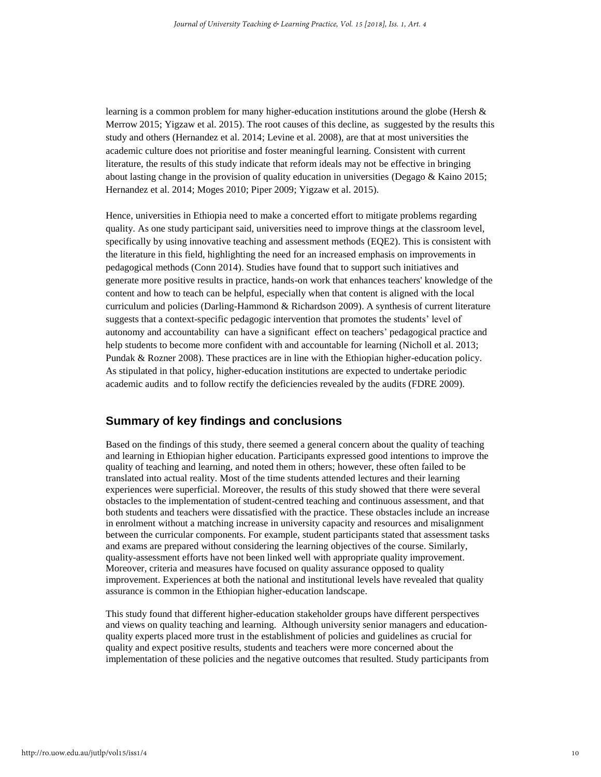learning is a common problem for many higher-education institutions around the globe (Hersh  $\&$ [Merrow 2015;](#page-16-16) [Yigzaw et al. 2015\)](#page-18-7). The root causes of this decline, as suggested by the results this study and others [\(Hernandez et al. 2014;](#page-16-0) [Levine et al. 2008\)](#page-16-17), are that at most universities the academic culture does not prioritise and foster meaningful learning. Consistent with current literature, the results of this study indicate that reform ideals may not be effective in bringing about lasting change in the provision of quality education in universities [\(Degago & Kaino 2015;](#page-15-11) [Hernandez et al. 2014;](#page-16-0) [Moges 2010;](#page-17-11) [Piper 2009;](#page-17-6) [Yigzaw et al. 2015\)](#page-18-7).

Hence, universities in Ethiopia need to make a concerted effort to mitigate problems regarding quality. As one study participant said, universities need to improve things at the classroom level, specifically by using innovative teaching and assessment methods (EQE2). This is consistent with the literature in this field, highlighting the need for an increased emphasis on improvements in pedagogical methods [\(Conn 2014\)](#page-15-12). Studies have found that to support such initiatives and generate more positive results in practice, hands-on work that enhances teachers' knowledge of the content and how to teach can be helpful, especially when that content is aligned with the local curriculum and policies [\(Darling-Hammond & Richardson 2009\)](#page-15-13). A synthesis of current literature suggests that a context-specific pedagogic intervention that promotes the students' level of autonomy and accountability can have a significant effect on teachers' pedagogical practice and help students to become more confident with and accountable for learning [\(Nicholl et al. 2013;](#page-17-12) [Pundak & Rozner 2008\)](#page-17-13). These practices are in line with the Ethiopian higher-education policy. As stipulated in that policy, higher-education institutions are expected to undertake periodic academic audits and to follow rectify the deficiencies revealed by the audits [\(FDRE 2009\)](#page-15-7).

## **Summary of key findings and conclusions**

Based on the findings of this study, there seemed a general concern about the quality of teaching and learning in Ethiopian higher education. Participants expressed good intentions to improve the quality of teaching and learning, and noted them in others; however, these often failed to be translated into actual reality. Most of the time students attended lectures and their learning experiences were superficial. Moreover, the results of this study showed that there were several obstacles to the implementation of student-centred teaching and continuous assessment, and that both students and teachers were dissatisfied with the practice. These obstacles include an increase in enrolment without a matching increase in university capacity and resources and misalignment between the curricular components. For example, student participants stated that assessment tasks and exams are prepared without considering the learning objectives of the course. Similarly, quality-assessment efforts have not been linked well with appropriate quality improvement. Moreover, criteria and measures have focused on quality assurance opposed to quality improvement. Experiences at both the national and institutional levels have revealed that quality assurance is common in the Ethiopian higher-education landscape.

This study found that different higher-education stakeholder groups have different perspectives and views on quality teaching and learning. Although university senior managers and educationquality experts placed more trust in the establishment of policies and guidelines as crucial for quality and expect positive results, students and teachers were more concerned about the implementation of these policies and the negative outcomes that resulted. Study participants from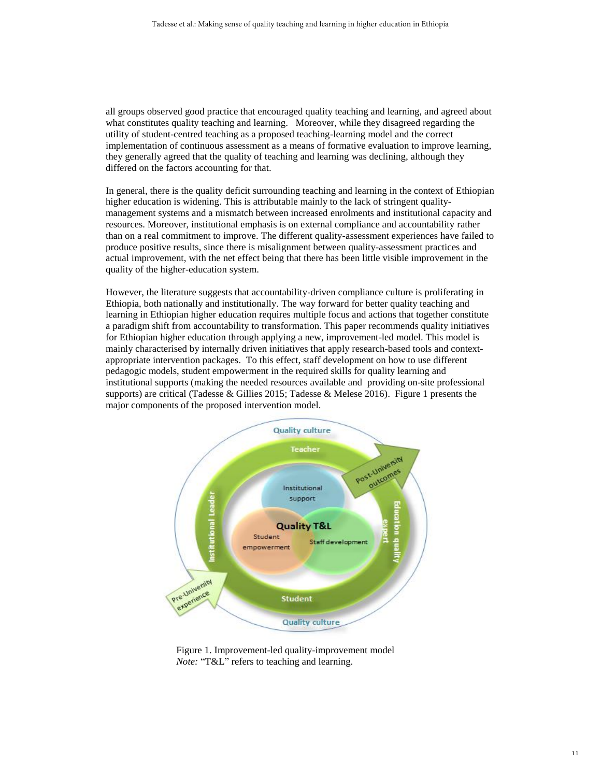all groups observed good practice that encouraged quality teaching and learning, and agreed about what constitutes quality teaching and learning. Moreover, while they disagreed regarding the utility of student-centred teaching as a proposed teaching-learning model and the correct implementation of continuous assessment as a means of formative evaluation to improve learning, they generally agreed that the quality of teaching and learning was declining, although they differed on the factors accounting for that.

In general, there is the quality deficit surrounding teaching and learning in the context of Ethiopian higher education is widening. This is attributable mainly to the lack of stringent qualitymanagement systems and a mismatch between increased enrolments and institutional capacity and resources. Moreover, institutional emphasis is on external compliance and accountability rather than on a real commitment to improve. The different quality-assessment experiences have failed to produce positive results, since there is misalignment between quality-assessment practices and actual improvement, with the net effect being that there has been little visible improvement in the quality of the higher-education system.

However, the literature suggests that accountability-driven compliance culture is proliferating in Ethiopia, both nationally and institutionally. The way forward for better quality teaching and learning in Ethiopian higher education requires multiple focus and actions that together constitute a paradigm shift from accountability to transformation. This paper recommends quality initiatives for Ethiopian higher education through applying a new, improvement-led model. This model is mainly characterised by internally driven initiatives that apply research-based tools and contextappropriate intervention packages. To this effect, staff development on how to use different pedagogic models, student empowerment in the required skills for quality learning and institutional supports (making the needed resources available and providing on-site professional supports) are critical [\(Tadesse & Gillies 2015;](#page-18-8) [Tadesse & Melese 2016\)](#page-18-9). Figure 1 presents the major components of the proposed intervention model.



Figure 1. Improvement-led quality-improvement model *Note:* "T&L" refers to teaching and learning.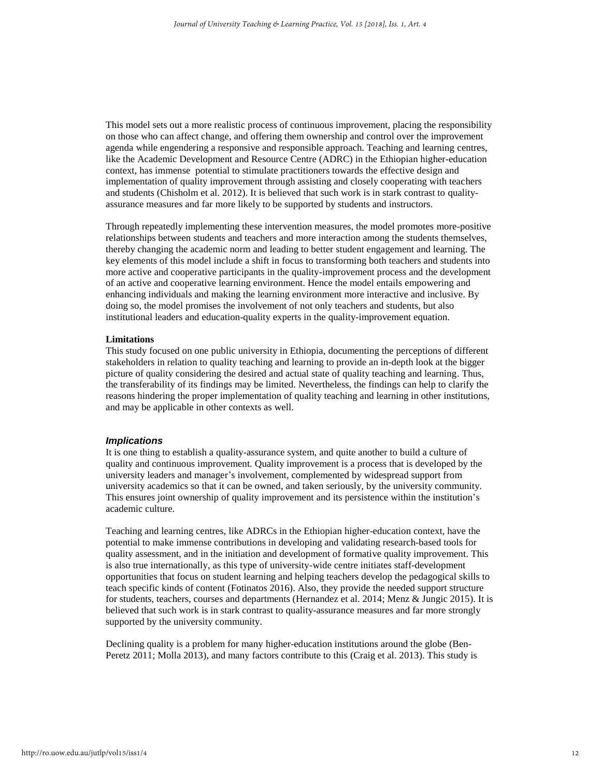This model sets out a more realistic process of continuous improvement, placing the responsibility on those who can affect change, and offering them ownership and control over the improvement agenda while engendering a responsive and responsible approach. Teaching and learning centres, like the Academic Development and Resource Centre (ADRC) in the Ethiopian higher-education context, has immense potential to stimulate practitioners towards the effective design and implementation of quality improvement through assisting and closely cooperating with teachers and students [\(Chisholm et al. 2012\)](#page-15-14). It is believed that such work is in stark contrast to qualityassurance measures and far more likely to be supported by students and instructors.

Through repeatedly implementing these intervention measures, the model promotes more-positive relationships between students and teachers and more interaction among the students themselves, thereby changing the academic norm and leading to better student engagement and learning. The key elements of this model include a shift in focus to transforming both teachers and students into more active and cooperative participants in the quality-improvement process and the development of an active and cooperative learning environment. Hence the model entails empowering and enhancing individuals and making the learning environment more interactive and inclusive. By doing so, the model promises the involvement of not only teachers and students, but also institutional leaders and education-quality experts in the quality-improvement equation.

#### **Limitations**

This study focused on one public university in Ethiopia, documenting the perceptions of different stakeholders in relation to quality teaching and learning to provide an in-depth look at the bigger picture of quality considering the desired and actual state of quality teaching and learning. Thus, the transferability of its findings may be limited. Nevertheless, the findings can help to clarify the reasons hindering the proper implementation of quality teaching and learning in other institutions, and may be applicable in other contexts as well.

#### *Implications*

It is one thing to establish a quality-assurance system, and quite another to build a culture of quality and continuous improvement. Quality improvement is a process that is developed by the university leaders and manager's involvement, complemented by widespread support from university academics so that it can be owned, and taken seriously, by the university community. This ensures joint ownership of quality improvement and its persistence within the institution's academic culture.

Teaching and learning centres, like ADRCs in the Ethiopian higher-education context, have the potential to make immense contributions in developing and validating research-based tools for quality assessment, and in the initiation and development of formative quality improvement. This is also true internationally, as this type of university-wide centre initiates staff-development opportunities that focus on student learning and helping teachers develop the pedagogical skills to teach specific kinds of content [\(Fotinatos 2016\)](#page-15-15). Also, they provide the needed support structure for students, teachers, courses and departments [\(Hernandez et al. 2014;](#page-16-0) [Menz & Jungic 2015\)](#page-16-1). It is believed that such work is in stark contrast to quality-assurance measures and far more strongly supported by the university community.

Declining quality is a problem for many higher-education institutions around the globe [\(Ben-](#page-14-9)[Peretz 2011;](#page-14-9) [Molla 2013\)](#page-17-14), and many factors contribute to this [\(Craig et al. 2013\)](#page-15-16). This study is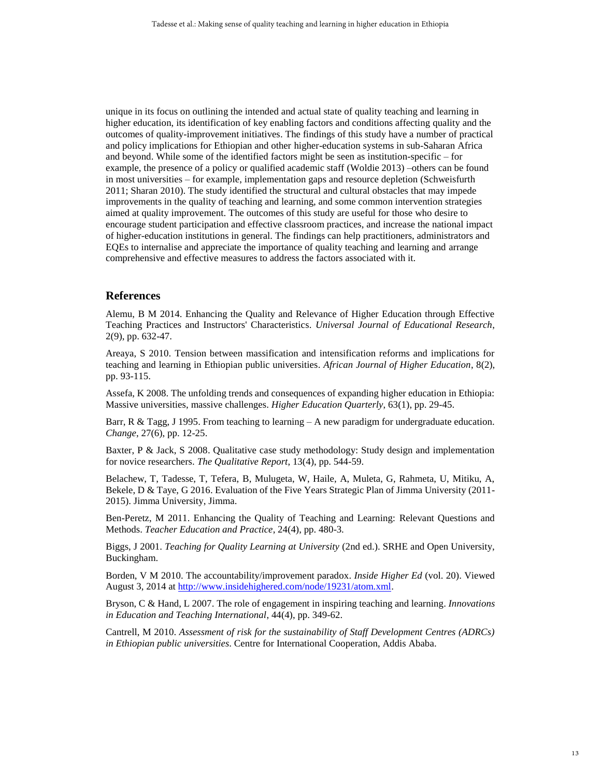unique in its focus on outlining the intended and actual state of quality teaching and learning in higher education, its identification of key enabling factors and conditions affecting quality and the outcomes of quality-improvement initiatives. The findings of this study have a number of practical and policy implications for Ethiopian and other higher-education systems in sub-Saharan Africa and beyond. While some of the identified factors might be seen as institution-specific – for example, the presence of a policy or qualified academic staff [\(Woldie 2013\)](#page-18-10) –others can be found in most universities – for example, implementation gaps and resource depletion [\(Schweisfurth](#page-17-15)  [2011;](#page-17-15) [Sharan 2010\)](#page-17-16). The study identified the structural and cultural obstacles that may impede improvements in the quality of teaching and learning, and some common intervention strategies aimed at quality improvement. The outcomes of this study are useful for those who desire to encourage student participation and effective classroom practices, and increase the national impact of higher-education institutions in general. The findings can help practitioners, administrators and EQEs to internalise and appreciate the importance of quality teaching and learning and arrange comprehensive and effective measures to address the factors associated with it.

#### **References**

<span id="page-14-6"></span>Alemu, B M 2014. Enhancing the Quality and Relevance of Higher Education through Effective Teaching Practices and Instructors' Characteristics. *Universal Journal of Educational Research*, 2(9), pp. 632-47.

<span id="page-14-1"></span>Areaya, S 2010. Tension between massification and intensification reforms and implications for teaching and learning in Ethiopian public universities. *African Journal of Higher Education*, 8(2), pp. 93-115.

<span id="page-14-2"></span>Assefa, K 2008. The unfolding trends and consequences of expanding higher education in Ethiopia: Massive universities, massive challenges. *Higher Education Quarterly*, 63(1), pp. 29-45.

<span id="page-14-7"></span>Barr, R & Tagg, J 1995. From teaching to learning  $-A$  new paradigm for undergraduate education. *Change*, 27(6), pp. 12-25.

<span id="page-14-4"></span>Baxter, P & Jack, S 2008. Qualitative case study methodology: Study design and implementation for novice researchers. *The Qualitative Report*, 13(4), pp. 544-59.

Belachew, T, Tadesse, T, Tefera, B, Mulugeta, W, Haile, A, Muleta, G, Rahmeta, U, Mitiku, A, Bekele, D & Taye, G 2016. Evaluation of the Five Years Strategic Plan of Jimma University (2011- 2015). Jimma University, Jimma.

<span id="page-14-9"></span>Ben-Peretz, M 2011. Enhancing the Quality of Teaching and Learning: Relevant Questions and Methods. *Teacher Education and Practice*, 24(4), pp. 480-3.

<span id="page-14-5"></span>Biggs, J 2001. *Teaching for Quality Learning at University* (2nd ed.). SRHE and Open University, Buckingham.

<span id="page-14-0"></span>Borden, V M 2010. The accountability/improvement paradox. *Inside Higher Ed* (vol. 20). Viewed August 3, 2014 at [http://www.insidehighered.com/node/19231/atom.xml.](http://www.insidehighered.com/node/19231/atom.xml)

<span id="page-14-8"></span>Bryson, C & Hand, L 2007. The role of engagement in inspiring teaching and learning. *Innovations in Education and Teaching International*, 44(4), pp. 349-62.

<span id="page-14-3"></span>Cantrell, M 2010. *Assessment of risk for the sustainability of Staff Development Centres (ADRCs) in Ethiopian public universities*. Centre for International Cooperation, Addis Ababa.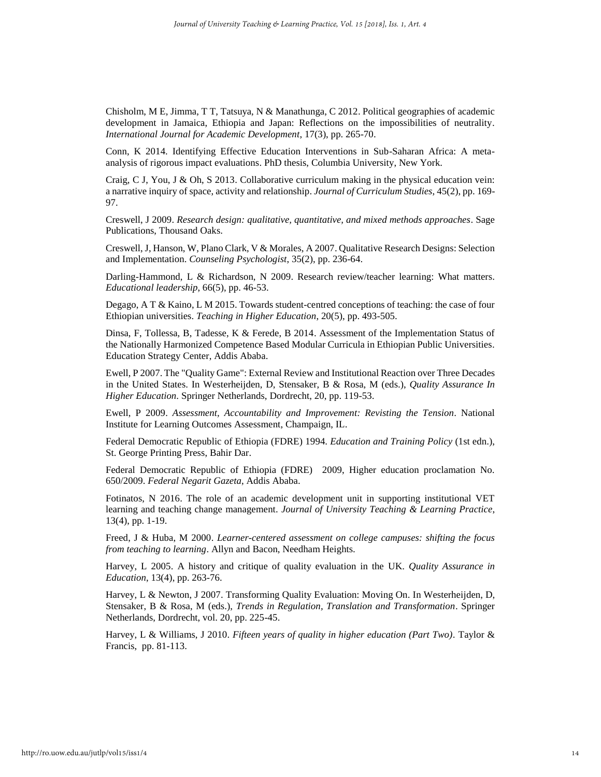<span id="page-15-14"></span>Chisholm, M E, Jimma, T T, Tatsuya, N & Manathunga, C 2012. Political geographies of academic development in Jamaica, Ethiopia and Japan: Reflections on the impossibilities of neutrality. *International Journal for Academic Development*, 17(3), pp. 265-70.

<span id="page-15-12"></span>Conn, K 2014. Identifying Effective Education Interventions in Sub-Saharan Africa: A metaanalysis of rigorous impact evaluations. PhD thesis, Columbia University, New York.

<span id="page-15-16"></span>Craig, C J, You, J & Oh, S 2013. Collaborative curriculum making in the physical education vein: a narrative inquiry of space, activity and relationship. *Journal of Curriculum Studies*, 45(2), pp. 169- 97.

<span id="page-15-8"></span>Creswell, J 2009. *Research design: qualitative, quantitative, and mixed methods approaches*. Sage Publications, Thousand Oaks.

<span id="page-15-9"></span>Creswell, J, Hanson, W, Plano Clark, V & Morales, A 2007. Qualitative Research Designs: Selection and Implementation. *Counseling Psychologist*, 35(2), pp. 236-64.

<span id="page-15-13"></span>Darling-Hammond, L & Richardson, N 2009. Research review/teacher learning: What matters. *Educational leadership*, 66(5), pp. 46-53.

<span id="page-15-11"></span>Degago, A T & Kaino, L M 2015. Towards student-centred conceptions of teaching: the case of four Ethiopian universities. *Teaching in Higher Education*, 20(5), pp. 493-505.

<span id="page-15-5"></span>Dinsa, F, Tollessa, B, Tadesse, K & Ferede, B 2014. Assessment of the Implementation Status of the Nationally Harmonized Competence Based Modular Curricula in Ethiopian Public Universities. Education Strategy Center, Addis Ababa.

<span id="page-15-4"></span>Ewell, P 2007. The "Quality Game": External Review and Institutional Reaction over Three Decades in the United States. In Westerheijden, D, Stensaker, B & Rosa, M (eds.), *Quality Assurance In Higher Education*. Springer Netherlands, Dordrecht, 20, pp. 119-53.

<span id="page-15-0"></span>Ewell, P 2009. *Assessment, Accountability and Improvement: Revisting the Tension*. National Institute for Learning Outcomes Assessment, Champaign, IL.

<span id="page-15-6"></span>Federal Democratic Republic of Ethiopia (FDRE) 1994. *Education and Training Policy* (1st edn.), St. George Printing Press, Bahir Dar.

<span id="page-15-7"></span>Federal Democratic Republic of Ethiopia (FDRE) 2009, Higher education proclamation No. 650/2009. *Federal Negarit Gazeta*, Addis Ababa.

<span id="page-15-15"></span>Fotinatos, N 2016. The role of an academic development unit in supporting institutional VET learning and teaching change management. *Journal of University Teaching & Learning Practice*, 13(4), pp. 1-19.

<span id="page-15-10"></span>Freed, J & Huba, M 2000. *Learner-centered assessment on college campuses: shifting the focus from teaching to learning*. Allyn and Bacon, Needham Heights.

<span id="page-15-2"></span>Harvey, L 2005. A history and critique of quality evaluation in the UK. *Quality Assurance in Education*, 13(4), pp. 263-76.

<span id="page-15-3"></span>Harvey, L & Newton, J 2007. Transforming Quality Evaluation: Moving On. In Westerheijden, D, Stensaker, B & Rosa, M (eds.), *Trends in Regulation, Translation and Transformation*. Springer Netherlands, Dordrecht, vol. 20, pp. 225-45.

<span id="page-15-1"></span>Harvey, L & Williams, J 2010. *Fifteen years of quality in higher education (Part Two)*. Taylor & Francis, pp. 81-113.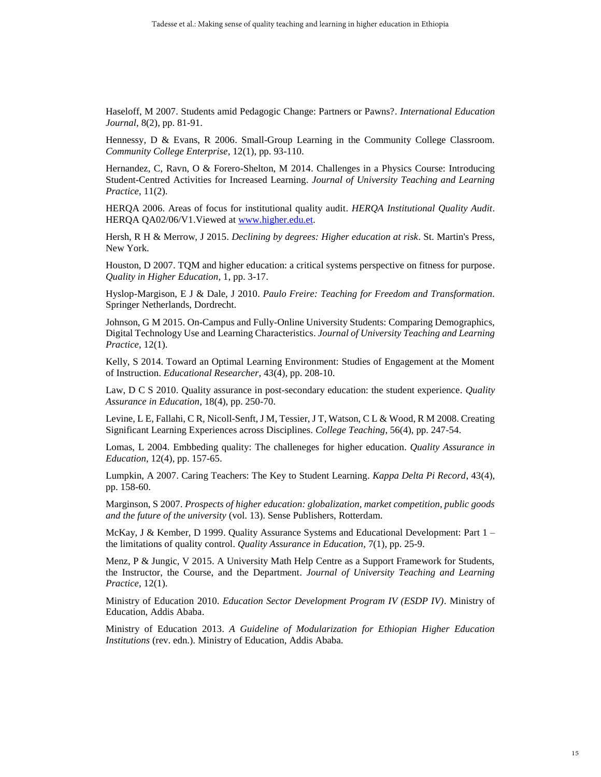<span id="page-16-13"></span>Haseloff, M 2007. Students amid Pedagogic Change: Partners or Pawns?. *International Education Journal*, 8(2), pp. 81-91.

<span id="page-16-11"></span>Hennessy, D & Evans, R 2006. Small-Group Learning in the Community College Classroom. *Community College Enterprise*, 12(1), pp. 93-110.

<span id="page-16-0"></span>Hernandez, C, Ravn, O & Forero-Shelton, M 2014. Challenges in a Physics Course: Introducing Student-Centred Activities for Increased Learning. *Journal of University Teaching and Learning Practice*, 11(2).

<span id="page-16-6"></span>HERQA 2006. Areas of focus for institutional quality audit. *HERQA Institutional Quality Audit*. HERQA QA02/06/V1.Viewed at [www.higher.edu.et.](http://www.higher.edu.et/)

<span id="page-16-16"></span>Hersh, R H & Merrow, J 2015. *Declining by degrees: Higher education at risk*. St. Martin's Press, New York.

<span id="page-16-2"></span>Houston, D 2007. TQM and higher education: a critical systems perspective on fitness for purpose. *Quality in Higher Education*, 1, pp. 3-17.

<span id="page-16-10"></span>Hyslop-Margison, E J & Dale, J 2010. *Paulo Freire: Teaching for Freedom and Transformation.*  Springer Netherlands, Dordrecht.

<span id="page-16-7"></span>Johnson, G M 2015. On-Campus and Fully-Online University Students: Comparing Demographics, Digital Technology Use and Learning Characteristics. *Journal of University Teaching and Learning Practice*, 12(1).

<span id="page-16-9"></span>Kelly, S 2014. Toward an Optimal Learning Environment: Studies of Engagement at the Moment of Instruction. *Educational Researcher*, 43(4), pp. 208-10.

<span id="page-16-14"></span>Law, D C S 2010. Quality assurance in post-secondary education: the student experience. *Quality Assurance in Education*, 18(4), pp. 250-70.

<span id="page-16-17"></span>Levine, L E, Fallahi, C R, Nicoll-Senft, J M, Tessier, J T, Watson, C L & Wood, R M 2008. Creating Significant Learning Experiences across Disciplines. *College Teaching*, 56(4), pp. 247-54.

<span id="page-16-3"></span>Lomas, L 2004. Embbeding quality: The challeneges for higher education. *Quality Assurance in Education*, 12(4), pp. 157-65.

<span id="page-16-15"></span>Lumpkin, A 2007. Caring Teachers: The Key to Student Learning. *Kappa Delta Pi Record*, 43(4), pp. 158-60.

<span id="page-16-8"></span>Marginson, S 2007. *Prospects of higher education: globalization, market competition, public goods and the future of the university* (vol. 13). Sense Publishers, Rotterdam.

<span id="page-16-4"></span>McKay, J & Kember, D 1999. Quality Assurance Systems and Educational Development: Part 1 – the limitations of quality control. *Quality Assurance in Education*, 7(1), pp. 25-9.

<span id="page-16-1"></span>Menz, P & Jungic, V 2015. A University Math Help Centre as a Support Framework for Students, the Instructor, the Course, and the Department. *Journal of University Teaching and Learning Practice*, 12(1).

<span id="page-16-5"></span>Ministry of Education 2010. *Education Sector Development Program IV (ESDP IV)*. Ministry of Education, Addis Ababa.

<span id="page-16-12"></span>Ministry of Education 2013. *A Guideline of Modularization for Ethiopian Higher Education Institutions* (rev. edn.). Ministry of Education, Addis Ababa.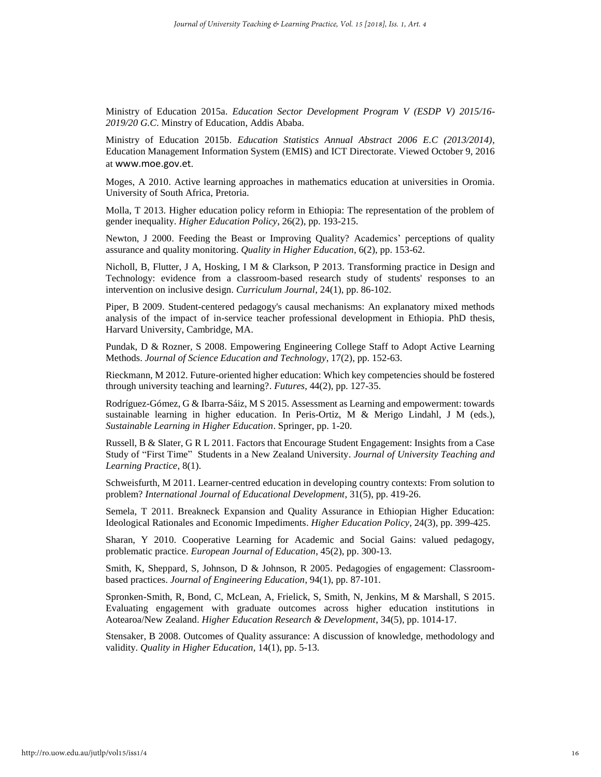<span id="page-17-2"></span>Ministry of Education 2015a. *Education Sector Development Program V (ESDP V) 2015/16- 2019/20 G.C*. Minstry of Education, Addis Ababa.

<span id="page-17-3"></span>Ministry of Education 2015b. *Education Statistics Annual Abstract 2006 E.C (2013/2014)*, Education Management Information System (EMIS) and ICT Directorate. Viewed October 9, 2016 at www.moe.gov.et.

<span id="page-17-11"></span>Moges, A 2010. Active learning approaches in mathematics education at universities in Oromia. University of South Africa, Pretoria.

<span id="page-17-14"></span>Molla, T 2013. Higher education policy reform in Ethiopia: The representation of the problem of gender inequality. *Higher Education Policy*, 26(2), pp. 193-215.

<span id="page-17-0"></span>Newton, J 2000. Feeding the Beast or Improving Quality? Academics' perceptions of quality assurance and quality monitoring. *Quality in Higher Education*, 6(2), pp. 153-62.

<span id="page-17-12"></span>Nicholl, B, Flutter, J A, Hosking, I M & Clarkson, P 2013. Transforming practice in Design and Technology: evidence from a classroom-based research study of students' responses to an intervention on inclusive design. *Curriculum Journal*, 24(1), pp. 86-102.

<span id="page-17-6"></span>Piper, B 2009. Student-centered pedagogy's causal mechanisms: An explanatory mixed methods analysis of the impact of in-service teacher professional development in Ethiopia. PhD thesis, Harvard University, Cambridge, MA.

<span id="page-17-13"></span>Pundak, D & Rozner, S 2008. Empowering Engineering College Staff to Adopt Active Learning Methods. *Journal of Science Education and Technology*, 17(2), pp. 152-63.

<span id="page-17-7"></span>Rieckmann, M 2012. Future-oriented higher education: Which key competencies should be fostered through university teaching and learning?. *Futures*, 44(2), pp. 127-35.

<span id="page-17-10"></span>Rodríguez-Gómez, G & Ibarra-Sáiz, M S 2015. Assessment as Learning and empowerment: towards sustainable learning in higher education. In Peris-Ortiz, M & Merigo Lindahl, J M (eds.), *Sustainable Learning in Higher Education*. Springer, pp. 1-20.

<span id="page-17-9"></span>Russell, B & Slater, G R L 2011. Factors that Encourage Student Engagement: Insights from a Case Study of "First Time" Students in a New Zealand University. *Journal of University Teaching and Learning Practice*, 8(1).

<span id="page-17-15"></span>Schweisfurth, M 2011. Learner-centred education in developing country contexts: From solution to problem? *International Journal of Educational Development*, 31(5), pp. 419-26.

<span id="page-17-4"></span>Semela, T 2011. Breakneck Expansion and Quality Assurance in Ethiopian Higher Education: Ideological Rationales and Economic Impediments. *Higher Education Policy*, 24(3), pp. 399-425.

<span id="page-17-16"></span>Sharan, Y 2010. Cooperative Learning for Academic and Social Gains: valued pedagogy, problematic practice. *European Journal of Education*, 45(2), pp. 300-13.

<span id="page-17-5"></span>Smith, K, Sheppard, S, Johnson, D & Johnson, R 2005. Pedagogies of engagement: Classroombased practices. *Journal of Engineering Education*, 94(1), pp. 87-101.

<span id="page-17-8"></span>Spronken-Smith, R, Bond, C, McLean, A, Frielick, S, Smith, N, Jenkins, M & Marshall, S 2015. Evaluating engagement with graduate outcomes across higher education institutions in Aotearoa/New Zealand. *Higher Education Research & Development*, 34(5), pp. 1014-17.

<span id="page-17-1"></span>Stensaker, B 2008. Outcomes of Quality assurance: A discussion of knowledge, methodology and validity. *Quality in Higher Education*, 14(1), pp. 5-13.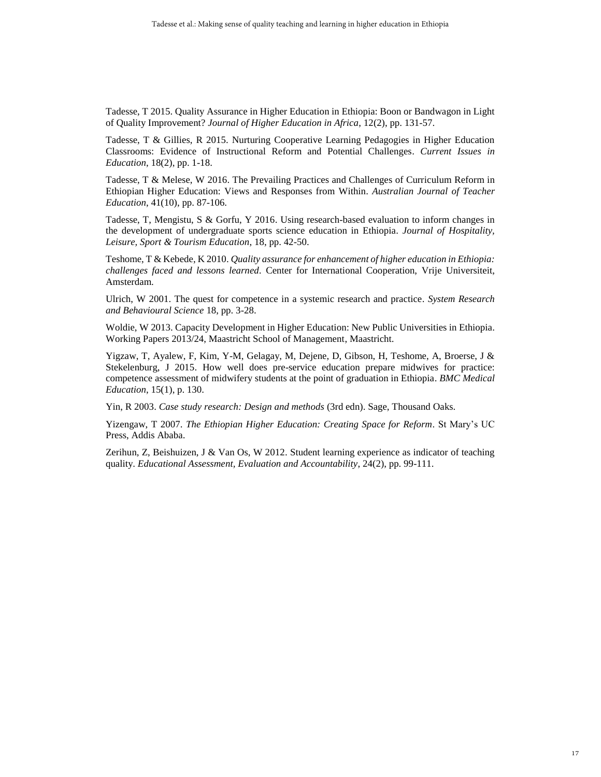<span id="page-18-3"></span>Tadesse, T 2015. Quality Assurance in Higher Education in Ethiopia: Boon or Bandwagon in Light of Quality Improvement? *Journal of Higher Education in Africa*, 12(2), pp. 131-57.

<span id="page-18-8"></span>Tadesse, T & Gillies, R 2015. Nurturing Cooperative Learning Pedagogies in Higher Education Classrooms: Evidence of Instructional Reform and Potential Challenges. *Current Issues in Education*, 18(2), pp. 1-18.

<span id="page-18-9"></span>Tadesse, T & Melese, W 2016. The Prevailing Practices and Challenges of Curriculum Reform in Ethiopian Higher Education: Views and Responses from Within. *Australian Journal of Teacher Education*, 41(10), pp. 87-106.

<span id="page-18-6"></span>Tadesse, T, Mengistu, S & Gorfu, Y 2016. Using research-based evaluation to inform changes in the development of undergraduate sports science education in Ethiopia. *Journal of Hospitality, Leisure, Sport & Tourism Education*, 18, pp. 42-50.

<span id="page-18-1"></span>Teshome, T & Kebede, K 2010. *Quality assurance for enhancement of higher education in Ethiopia: challenges faced and lessons learned.* Center for International Cooperation, Vrije Universiteit, Amsterdam.

<span id="page-18-0"></span>Ulrich, W 2001. The quest for competence in a systemic research and practice. *System Research and Behavioural Science* 18, pp. 3-28.

<span id="page-18-10"></span>Woldie, W 2013. Capacity Development in Higher Education: New Public Universities in Ethiopia. Working Papers 2013/24, Maastricht School of Management, Maastricht.

<span id="page-18-7"></span>Yigzaw, T, Ayalew, F, Kim, Y-M, Gelagay, M, Dejene, D, Gibson, H, Teshome, A, Broerse, J & Stekelenburg, J 2015. How well does pre-service education prepare midwives for practice: competence assessment of midwifery students at the point of graduation in Ethiopia. *BMC Medical Education*, 15(1), p. 130.

<span id="page-18-5"></span>Yin, R 2003. *Case study research: Design and methods* (3rd edn). Sage, Thousand Oaks.

<span id="page-18-2"></span>Yizengaw, T 2007. *The Ethiopian Higher Education: Creating Space for Reform*. St Mary's UC Press, Addis Ababa.

<span id="page-18-4"></span>Zerihun, Z, Beishuizen, J & Van Os, W 2012. Student learning experience as indicator of teaching quality. *Educational Assessment, Evaluation and Accountability*, 24(2), pp. 99-111.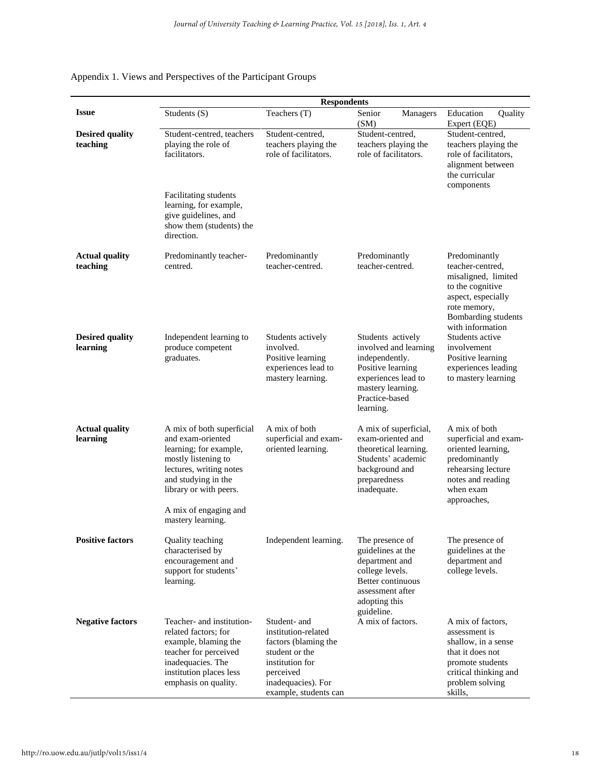|                                    | <b>Respondents</b>                                                                                                                                                                                                        |                                                                                                                                                              |                                                                                                                                                              |                                                                                                                                                               |  |  |
|------------------------------------|---------------------------------------------------------------------------------------------------------------------------------------------------------------------------------------------------------------------------|--------------------------------------------------------------------------------------------------------------------------------------------------------------|--------------------------------------------------------------------------------------------------------------------------------------------------------------|---------------------------------------------------------------------------------------------------------------------------------------------------------------|--|--|
| <b>Issue</b>                       | Students (S)                                                                                                                                                                                                              | Teachers (T)                                                                                                                                                 | Senior<br>Managers<br>(SM)                                                                                                                                   | Quality<br>Education<br>Expert (EQE)                                                                                                                          |  |  |
| <b>Desired quality</b><br>teaching | Student-centred, teachers<br>playing the role of<br>facilitators.<br>Facilitating students<br>learning, for example,<br>give guidelines, and<br>show them (students) the                                                  | Student-centred.<br>teachers playing the<br>role of facilitators.                                                                                            | Student-centred.<br>teachers playing the<br>role of facilitators.                                                                                            | Student-centred.<br>teachers playing the<br>role of facilitators,<br>alignment between<br>the curricular<br>components                                        |  |  |
|                                    | direction.                                                                                                                                                                                                                |                                                                                                                                                              |                                                                                                                                                              |                                                                                                                                                               |  |  |
| <b>Actual quality</b><br>teaching  | Predominantly teacher-<br>centred.                                                                                                                                                                                        | Predominantly<br>teacher-centred.                                                                                                                            | Predominantly<br>teacher-centred.                                                                                                                            | Predominantly<br>teacher-centred,<br>misaligned, limited<br>to the cognitive<br>aspect, especially<br>rote memory,<br>Bombarding students<br>with information |  |  |
| <b>Desired quality</b><br>learning | Independent learning to<br>produce competent<br>graduates.                                                                                                                                                                | Students actively<br>involved.<br>Positive learning<br>experiences lead to<br>mastery learning.                                                              | Students actively<br>involved and learning<br>independently.<br>Positive learning<br>experiences lead to<br>mastery learning.<br>Practice-based<br>learning. | Students active<br>involvement<br>Positive learning<br>experiences leading<br>to mastery learning                                                             |  |  |
| <b>Actual quality</b><br>learning  | A mix of both superficial<br>and exam-oriented<br>learning; for example,<br>mostly listening to<br>lectures, writing notes<br>and studying in the<br>library or with peers.<br>A mix of engaging and<br>mastery learning. | A mix of both<br>superficial and exam-<br>oriented learning.                                                                                                 | A mix of superficial,<br>exam-oriented and<br>theoretical learning.<br>Students' academic<br>background and<br>preparedness<br>inadequate.                   | A mix of both<br>superficial and exam-<br>oriented learning,<br>predominantly<br>rehearsing lecture<br>notes and reading<br>when exam<br>approaches,          |  |  |
| <b>Positive factors</b>            | Quality teaching<br>characterised by<br>encouragement and<br>support for students'<br>learning.                                                                                                                           | Independent learning.                                                                                                                                        | The presence of<br>guidelines at the<br>department and<br>college levels.<br>Better continuous<br>assessment after<br>adopting this<br>guideline.            | The presence of<br>guidelines at the<br>department and<br>college levels.                                                                                     |  |  |
| <b>Negative factors</b>            | Teacher- and institution-<br>related factors: for<br>example, blaming the<br>teacher for perceived<br>inadequacies. The<br>institution places less<br>emphasis on quality.                                                | Student- and<br>institution-related<br>factors (blaming the<br>student or the<br>institution for<br>perceived<br>inadequacies). For<br>example, students can | A mix of factors.                                                                                                                                            | A mix of factors,<br>assessment is<br>shallow, in a sense<br>that it does not<br>promote students<br>critical thinking and<br>problem solving<br>skills.      |  |  |

## Appendix 1. Views and Perspectives of the Participant Groups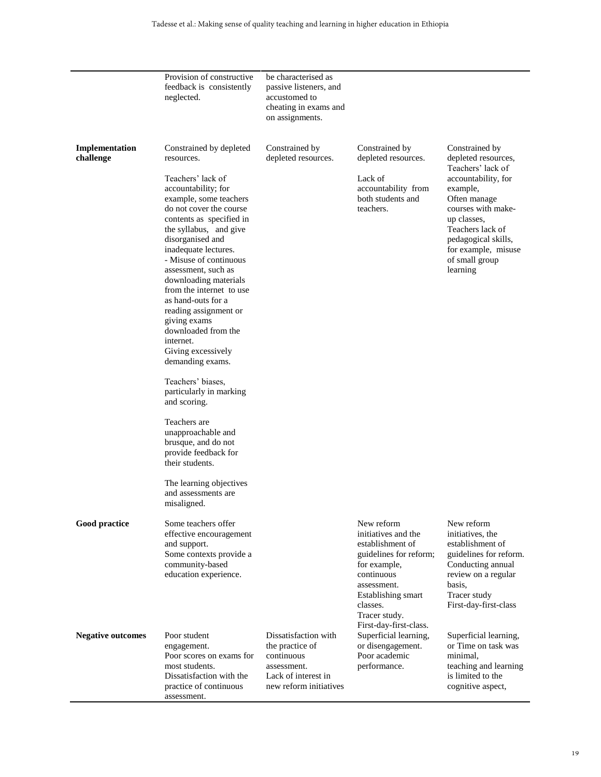|                             | Provision of constructive<br>feedback is consistently<br>neglected.                                                                                                                                                                                                                                                                                                                                                                                                                                                                                                                                                                                                                                                                  | be characterised as<br>passive listeners, and<br>accustomed to<br>cheating in exams and<br>on assignments.            |                                                                                                                                                                                 |                                                                                                                                                                                                                                                    |
|-----------------------------|--------------------------------------------------------------------------------------------------------------------------------------------------------------------------------------------------------------------------------------------------------------------------------------------------------------------------------------------------------------------------------------------------------------------------------------------------------------------------------------------------------------------------------------------------------------------------------------------------------------------------------------------------------------------------------------------------------------------------------------|-----------------------------------------------------------------------------------------------------------------------|---------------------------------------------------------------------------------------------------------------------------------------------------------------------------------|----------------------------------------------------------------------------------------------------------------------------------------------------------------------------------------------------------------------------------------------------|
| Implementation<br>challenge | Constrained by depleted<br>resources.<br>Teachers' lack of<br>accountability; for<br>example, some teachers<br>do not cover the course<br>contents as specified in<br>the syllabus, and give<br>disorganised and<br>inadequate lectures.<br>- Misuse of continuous<br>assessment, such as<br>downloading materials<br>from the internet to use<br>as hand-outs for a<br>reading assignment or<br>giving exams<br>downloaded from the<br>internet.<br>Giving excessively<br>demanding exams.<br>Teachers' biases,<br>particularly in marking<br>and scoring.<br>Teachers are<br>unapproachable and<br>brusque, and do not<br>provide feedback for<br>their students.<br>The learning objectives<br>and assessments are<br>misaligned. | Constrained by<br>depleted resources.                                                                                 | Constrained by<br>depleted resources.<br>Lack of<br>accountability from<br>both students and<br>teachers.                                                                       | Constrained by<br>depleted resources,<br>Teachers' lack of<br>accountability, for<br>example,<br>Often manage<br>courses with make-<br>up classes,<br>Teachers lack of<br>pedagogical skills,<br>for example, misuse<br>of small group<br>learning |
| Good practice               | Some teachers offer<br>effective encouragement<br>and support.<br>Some contexts provide a<br>community-based<br>education experience.                                                                                                                                                                                                                                                                                                                                                                                                                                                                                                                                                                                                |                                                                                                                       | New reform<br>initiatives and the<br>establishment of<br>guidelines for reform;<br>for example,<br>continuous<br>assessment.<br>Establishing smart<br>classes.<br>Tracer study. | New reform<br>initiatives, the<br>establishment of<br>guidelines for reform.<br>Conducting annual<br>review on a regular<br>basis,<br>Tracer study<br>First-day-first-class                                                                        |
| <b>Negative outcomes</b>    | Poor student<br>engagement.<br>Poor scores on exams for<br>most students.<br>Dissatisfaction with the<br>practice of continuous<br>assessment.                                                                                                                                                                                                                                                                                                                                                                                                                                                                                                                                                                                       | Dissatisfaction with<br>the practice of<br>continuous<br>assessment.<br>Lack of interest in<br>new reform initiatives | First-day-first-class.<br>Superficial learning,<br>or disengagement.<br>Poor academic<br>performance.                                                                           | Superficial learning,<br>or Time on task was<br>minimal,<br>teaching and learning<br>is limited to the<br>cognitive aspect,                                                                                                                        |